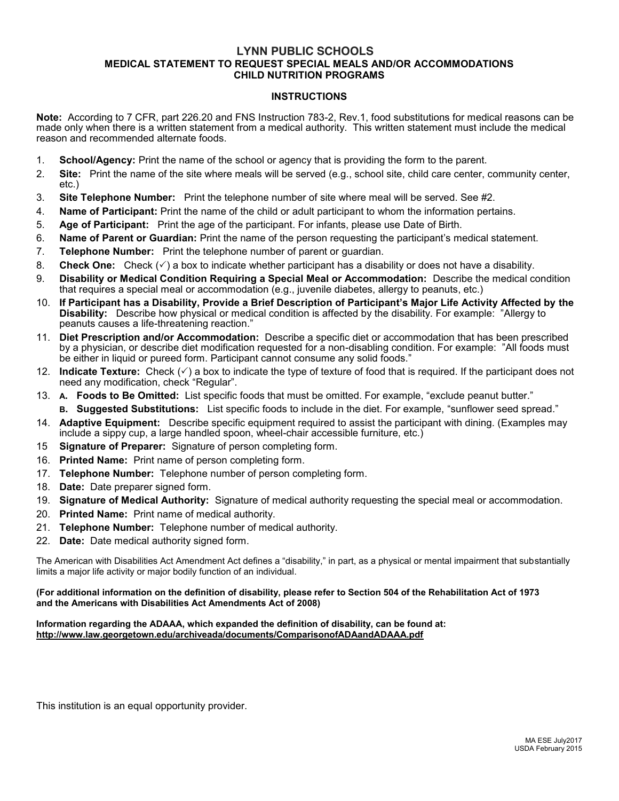## **LYNN PUBLIC SCHOOLS MEDICAL STATEMENT TO REQUEST SPECIAL MEALS AND/OR ACCOMMODATIONS CHILD NUTRITION PROGRAMS**

## **INSTRUCTIONS**

**Note:** According to 7 CFR, part 226.20 and FNS Instruction 783-2, Rev.1, food substitutions for medical reasons can be made only when there is a written statement from a medical authority. This written statement must include the medical reason and recommended alternate foods.

- 1. **School/Agency:** Print the name of the school or agency that is providing the form to the parent.
- 2. **Site:** Print the name of the site where meals will be served (e.g., school site, child care center, community center, etc.)
- 3. **Site Telephone Number:** Print the telephone number of site where meal will be served. See #2.
- 4. **Name of Participant:** Print the name of the child or adult participant to whom the information pertains.
- 5. **Age of Participant:** Print the age of the participant. For infants, please use Date of Birth.
- 6. **Name of Parent or Guardian:** Print the name of the person requesting the participant's medical statement.
- 7. **Telephone Number:** Print the telephone number of parent or guardian.
- 8. **Check One:** Check ( $\checkmark$ ) a box to indicate whether participant has a disability or does not have a disability.
- 9. **Disability or Medical Condition Requiring a Special Meal or Accommodation:** Describe the medical condition that requires a special meal or accommodation (e.g., juvenile diabetes, allergy to peanuts, etc.)
- 10. **If Participant has a Disability, Provide a Brief Description of Participant's Major Life Activity Affected by the Disability:** Describe how physical or medical condition is affected by the disability. For example: "Allergy to peanuts causes a life-threatening reaction."
- 11. **Diet Prescription and/or Accommodation:** Describe a specific diet or accommodation that has been prescribed by a physician, or describe diet modification requested for a non-disabling condition. For example: "All foods must be either in liquid or pureed form. Participant cannot consume any solid foods."
- 12. **Indicate Texture:** Check  $(\checkmark)$  a box to indicate the type of texture of food that is required. If the participant does not need any modification, check "Regular".
- 13. **A. Foods to Be Omitted:** List specific foods that must be omitted. For example, "exclude peanut butter."
	- **B. Suggested Substitutions:** List specific foods to include in the diet. For example, "sunflower seed spread."
- 14. **Adaptive Equipment:** Describe specific equipment required to assist the participant with dining. (Examples may include a sippy cup, a large handled spoon, wheel-chair accessible furniture, etc.)
- 15 **Signature of Preparer:** Signature of person completing form.
- 16. **Printed Name:** Print name of person completing form.
- 17. **Telephone Number:** Telephone number of person completing form.
- 18. **Date:** Date preparer signed form.
- 19. **Signature of Medical Authority:** Signature of medical authority requesting the special meal or accommodation.
- 20. **Printed Name:** Print name of medical authority.
- 21. **Telephone Number:** Telephone number of medical authority.
- 22. **Date:** Date medical authority signed form.

The American with Disabilities Act Amendment Act defines a "disability," in part, as a physical or mental impairment that substantially limits a major life activity or major bodily function of an individual.

## **(For additional information on the definition of disability, please refer to Section 504 of the Rehabilitation Act of 1973 and the Americans with Disabilities Act Amendments Act of 2008)**

**Information regarding the ADAAA, which expanded the definition of disability, can be found at: http://www.law.georgetown.edu/archiveada/documents/ComparisonofADAandADAAA.pdf**

This institution is an equal opportunity provider.